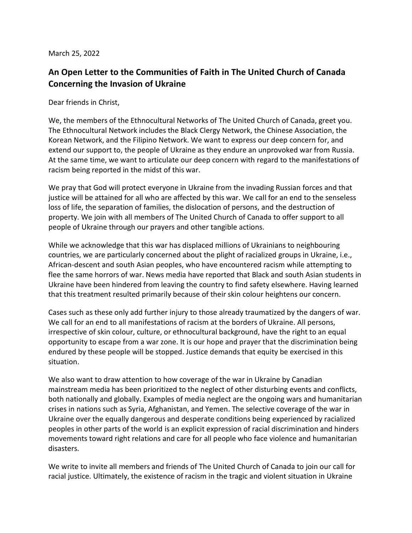March 25, 2022

## **An Open Letter to the Communities of Faith in The United Church of Canada Concerning the Invasion of Ukraine**

Dear friends in Christ,

We, the members of the Ethnocultural Networks of The United Church of Canada, greet you. The Ethnocultural Network includes the Black Clergy Network, the Chinese Association, the Korean Network, and the Filipino Network. We want to express our deep concern for, and extend our support to, the people of Ukraine as they endure an unprovoked war from Russia. At the same time, we want to articulate our deep concern with regard to the manifestations of racism being reported in the midst of this war.

We pray that God will protect everyone in Ukraine from the invading Russian forces and that justice will be attained for all who are affected by this war. We call for an end to the senseless loss of life, the separation of families, the dislocation of persons, and the destruction of property. We join with all members of The United Church of Canada to offer support to all people of Ukraine through our prayers and other tangible actions.

While we acknowledge that this war has displaced millions of Ukrainians to neighbouring countries, we are particularly concerned about the plight of racialized groups in Ukraine, i.e., African-descent and south Asian peoples, who have encountered racism while attempting to flee the same horrors of war. News media have reported that Black and south Asian students in Ukraine have been hindered from leaving the country to find safety elsewhere. Having learned that this treatment resulted primarily because of their skin colour heightens our concern.

Cases such as these only add further injury to those already traumatized by the dangers of war. We call for an end to all manifestations of racism at the borders of Ukraine. All persons, irrespective of skin colour, culture, or ethnocultural background, have the right to an equal opportunity to escape from a war zone. It is our hope and prayer that the discrimination being endured by these people will be stopped. Justice demands that equity be exercised in this situation.

We also want to draw attention to how coverage of the war in Ukraine by Canadian mainstream media has been prioritized to the neglect of other disturbing events and conflicts, both nationally and globally. Examples of media neglect are the ongoing wars and humanitarian crises in nations such as Syria, Afghanistan, and Yemen. The selective coverage of the war in Ukraine over the equally dangerous and desperate conditions being experienced by racialized peoples in other parts of the world is an explicit expression of racial discrimination and hinders movements toward right relations and care for all people who face violence and humanitarian disasters.

We write to invite all members and friends of The United Church of Canada to join our call for racial justice. Ultimately, the existence of racism in the tragic and violent situation in Ukraine